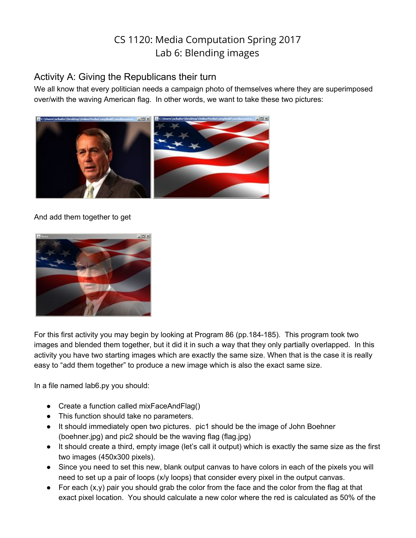# CS 1120: Media Computation Spring 2017 Lab 6: Blending images

## Activity A: Giving the Republicans their turn

We all know that every politician needs a campaign photo of themselves where they are superimposed over/with the waving American flag. In other words, we want to take these two pictures:



### And add them together to get



For this first activity you may begin by looking at Program 86 (pp.184-185). This program took two images and blended them together, but it did it in such a way that they only partially overlapped. In this activity you have two starting images which are exactly the same size. When that is the case it is really easy to "add them together" to produce a new image which is also the exact same size.

In a file named lab6.py you should:

- Create a function called mixFaceAndFlag()
- This function should take no parameters.
- It should immediately open two pictures. pic1 should be the image of John Boehner (boehner.jpg) and pic2 should be the waving flag (flag.jpg)
- It should create a third, empty image (let's call it output) which is exactly the same size as the first two images (450x300 pixels).
- Since you need to set this new, blank output canvas to have colors in each of the pixels you will need to set up a pair of loops (x/y loops) that consider every pixel in the output canvas.
- For each  $(x,y)$  pair you should grab the color from the face and the color from the flag at that exact pixel location. You should calculate a new color where the red is calculated as 50% of the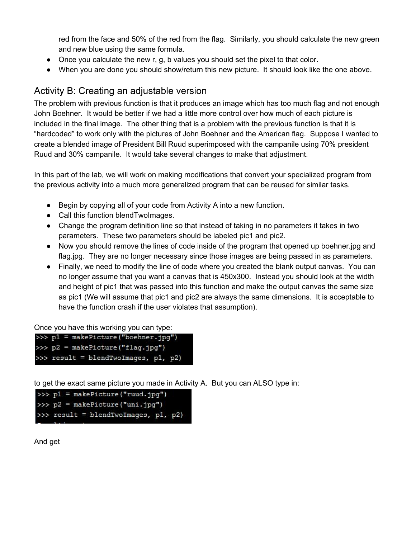red from the face and 50% of the red from the flag. Similarly, you should calculate the new green and new blue using the same formula.

- Once you calculate the new r, g, b values you should set the pixel to that color.
- When you are done you should show/return this new picture. It should look like the one above.

## Activity B: Creating an adjustable version

The problem with previous function is that it produces an image which has too much flag and not enough John Boehner. It would be better if we had a little more control over how much of each picture is included in the final image. The other thing that is a problem with the previous function is that it is "hardcoded" to work only with the pictures of John Boehner and the American flag. Suppose I wanted to create a blended image of President Bill Ruud superimposed with the campanile using 70% president Ruud and 30% campanile. It would take several changes to make that adjustment.

In this part of the lab, we will work on making modifications that convert your specialized program from the previous activity into a much more generalized program that can be reused for similar tasks.

- Begin by copying all of your code from Activity A into a new function.
- Call this function blendTwoImages.
- Change the program definition line so that instead of taking in no parameters it takes in two parameters. These two parameters should be labeled pic1 and pic2.
- Now you should remove the lines of code inside of the program that opened up boehner.jpg and flag.jpg. They are no longer necessary since those images are being passed in as parameters.
- Finally, we need to modify the line of code where you created the blank output canvas. You can no longer assume that you want a canvas that is 450x300. Instead you should look at the width and height of pic1 that was passed into this function and make the output canvas the same size as pic1 (We will assume that pic1 and pic2 are always the same dimensions. It is acceptable to have the function crash if the user violates that assumption).

Once you have this working you can type:

| >>> p1 = makePicture("boehner.jpg")  |
|--------------------------------------|
| >>> p2 = makePicture("flag.jpg")     |
| >>> result = blendTwoImages, p1, p2) |

to get the exact same picture you made in Activity A. But you can ALSO type in:

```
>> p1 = makePicture("ruud.jpq")
>>> p2 = makePicture("uni.jpg")
>>> result = blendTwoImages, p1, p2)
```
And get